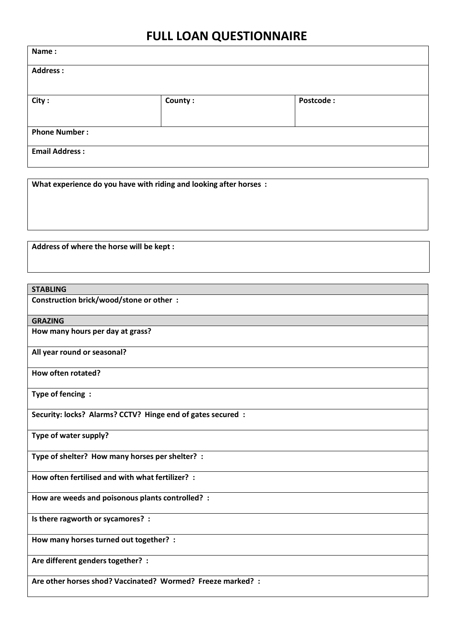## **FULL LOAN QUESTIONNAIRE**

| Name:                 |         |           |
|-----------------------|---------|-----------|
| <b>Address:</b>       |         |           |
|                       |         |           |
| City:                 | County: | Postcode: |
| <b>Phone Number:</b>  |         |           |
| <b>Email Address:</b> |         |           |

**What experience do you have with riding and looking after horses :**

**Address of where the horse will be kept :**

| <b>STABLING</b>                                             |
|-------------------------------------------------------------|
| Construction brick/wood/stone or other :                    |
| <b>GRAZING</b>                                              |
| How many hours per day at grass?                            |
| All year round or seasonal?                                 |
| How often rotated?                                          |
| Type of fencing:                                            |
| Security: locks? Alarms? CCTV? Hinge end of gates secured : |
| Type of water supply?                                       |
| Type of shelter? How many horses per shelter? :             |
| How often fertilised and with what fertilizer? :            |
| How are weeds and poisonous plants controlled? :            |
| Is there ragworth or sycamores? :                           |
| How many horses turned out together? :                      |
| Are different genders together? :                           |
| Are other horses shod? Vaccinated? Wormed? Freeze marked? : |